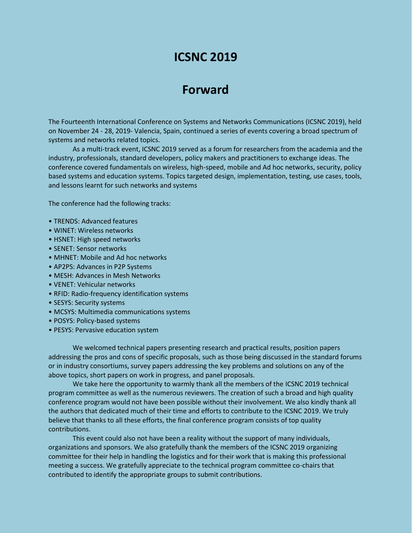# **ICSNC 2019**

## **Forward**

The Fourteenth International Conference on Systems and Networks Communications (ICSNC 2019), held on November 24 - 28, 2019- Valencia, Spain, continued a series of events covering a broad spectrum of systems and networks related topics.

As a multi-track event, ICSNC 2019 served as a forum for researchers from the academia and the industry, professionals, standard developers, policy makers and practitioners to exchange ideas. The conference covered fundamentals on wireless, high-speed, mobile and Ad hoc networks, security, policy based systems and education systems. Topics targeted design, implementation, testing, use cases, tools, and lessons learnt for such networks and systems

The conference had the following tracks:

- TRENDS: Advanced features
- WINET: Wireless networks
- HSNET: High speed networks
- SENET: Sensor networks
- MHNET: Mobile and Ad hoc networks
- AP2PS: Advances in P2P Systems
- MESH: Advances in Mesh Networks
- VENET: Vehicular networks
- RFID: Radio-frequency identification systems
- SESYS: Security systems
- MCSYS: Multimedia communications systems
- POSYS: Policy-based systems
- PESYS: Pervasive education system

We welcomed technical papers presenting research and practical results, position papers addressing the pros and cons of specific proposals, such as those being discussed in the standard forums or in industry consortiums, survey papers addressing the key problems and solutions on any of the above topics, short papers on work in progress, and panel proposals.

We take here the opportunity to warmly thank all the members of the ICSNC 2019 technical program committee as well as the numerous reviewers. The creation of such a broad and high quality conference program would not have been possible without their involvement. We also kindly thank all the authors that dedicated much of their time and efforts to contribute to the ICSNC 2019. We truly believe that thanks to all these efforts, the final conference program consists of top quality contributions.

This event could also not have been a reality without the support of many individuals, organizations and sponsors. We also gratefully thank the members of the ICSNC 2019 organizing committee for their help in handling the logistics and for their work that is making this professional meeting a success. We gratefully appreciate to the technical program committee co-chairs that contributed to identify the appropriate groups to submit contributions.